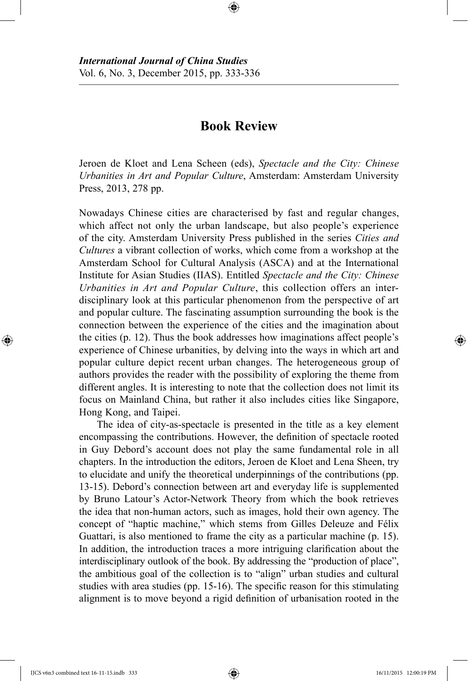## **Book Review**

⊕

Jeroen de Kloet and Lena Scheen (eds), *Spectacle and the City: Chinese Urbanities in Art and Popular Culture*, Amsterdam: Amsterdam University Press, 2013, 278 pp.

Nowadays Chinese cities are characterised by fast and regular changes, which affect not only the urban landscape, but also people's experience of the city. Amsterdam University Press published in the series *Cities and Cultures* a vibrant collection of works, which come from a workshop at the Amsterdam School for Cultural Analysis (ASCA) and at the International Institute for Asian Studies (IIAS). Entitled *Spectacle and the City: Chinese Urbanities in Art and Popular Culture*, this collection offers an interdisciplinary look at this particular phenomenon from the perspective of art and popular culture. The fascinating assumption surrounding the book is the connection between the experience of the cities and the imagination about the cities (p. 12). Thus the book addresses how imaginations affect people's experience of Chinese urbanities, by delving into the ways in which art and popular culture depict recent urban changes. The heterogeneous group of authors provides the reader with the possibility of exploring the theme from different angles. It is interesting to note that the collection does not limit its focus on Mainland China, but rather it also includes cities like Singapore, Hong Kong, and Taipei.

The idea of city-as-spectacle is presented in the title as a key element encompassing the contributions. However, the definition of spectacle rooted in Guy Debord's account does not play the same fundamental role in all chapters. In the introduction the editors, Jeroen de Kloet and Lena Sheen, try to elucidate and unify the theoretical underpinnings of the contributions (pp. 13-15). Debord's connection between art and everyday life is supplemented by Bruno Latour's Actor-Network Theory from which the book retrieves the idea that non-human actors, such as images, hold their own agency. The concept of "haptic machine," which stems from Gilles Deleuze and Félix Guattari, is also mentioned to frame the city as a particular machine (p. 15). In addition, the introduction traces a more intriguing clarification about the interdisciplinary outlook of the book. By addressing the "production of place", the ambitious goal of the collection is to "align" urban studies and cultural studies with area studies (pp. 15-16). The specific reason for this stimulating alignment is to move beyond a rigid definition of urbanisation rooted in the

⊕

⊕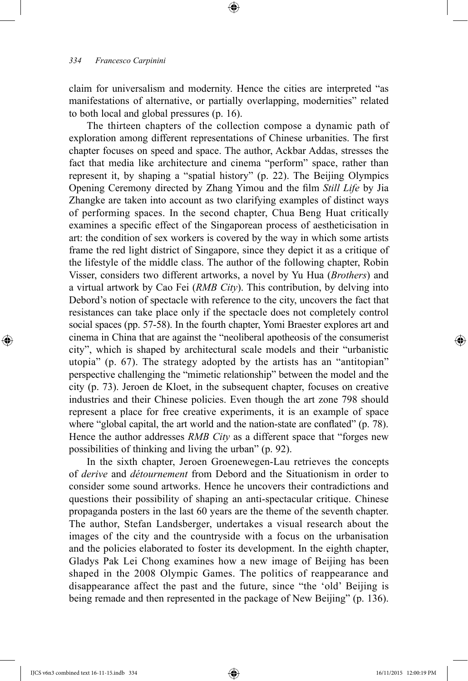## *334 Francesco Carpinini*

claim for universalism and modernity. Hence the cities are interpreted "as manifestations of alternative, or partially overlapping, modernities" related to both local and global pressures (p. 16).

⊕

The thirteen chapters of the collection compose a dynamic path of exploration among different representations of Chinese urbanities. The first chapter focuses on speed and space. The author, Ackbar Addas, stresses the fact that media like architecture and cinema "perform" space, rather than represent it, by shaping a "spatial history" (p. 22). The Beijing Olympics Opening Ceremony directed by Zhang Yimou and the film *Still Life* by Jia Zhangke are taken into account as two clarifying examples of distinct ways of performing spaces. In the second chapter, Chua Beng Huat critically examines a specific effect of the Singaporean process of aestheticisation in art: the condition of sex workers is covered by the way in which some artists frame the red light district of Singapore, since they depict it as a critique of the lifestyle of the middle class. The author of the following chapter, Robin Visser, considers two different artworks, a novel by Yu Hua (*Brothers*) and a virtual artwork by Cao Fei (*RMB City*). This contribution, by delving into Debord's notion of spectacle with reference to the city, uncovers the fact that resistances can take place only if the spectacle does not completely control social spaces (pp. 57-58). In the fourth chapter, Yomi Braester explores art and cinema in China that are against the "neoliberal apotheosis of the consumerist city", which is shaped by architectural scale models and their "urbanistic utopia" (p. 67). The strategy adopted by the artists has an "antitopian" perspective challenging the "mimetic relationship" between the model and the city (p. 73). Jeroen de Kloet, in the subsequent chapter, focuses on creative industries and their Chinese policies. Even though the art zone 798 should represent a place for free creative experiments, it is an example of space where "global capital, the art world and the nation-state are conflated" (p. 78). Hence the author addresses *RMB City* as a different space that "forges new possibilities of thinking and living the urban" (p. 92).

In the sixth chapter, Jeroen Groenewegen-Lau retrieves the concepts of *derive* and *détournement* from Debord and the Situationism in order to consider some sound artworks. Hence he uncovers their contradictions and questions their possibility of shaping an anti-spectacular critique. Chinese propaganda posters in the last 60 years are the theme of the seventh chapter. The author, Stefan Landsberger, undertakes a visual research about the images of the city and the countryside with a focus on the urbanisation and the policies elaborated to foster its development. In the eighth chapter, Gladys Pak Lei Chong examines how a new image of Beijing has been shaped in the 2008 Olympic Games. The politics of reappearance and disappearance affect the past and the future, since "the 'old' Beijing is being remade and then represented in the package of New Beijing" (p. 136).

⊕

⊕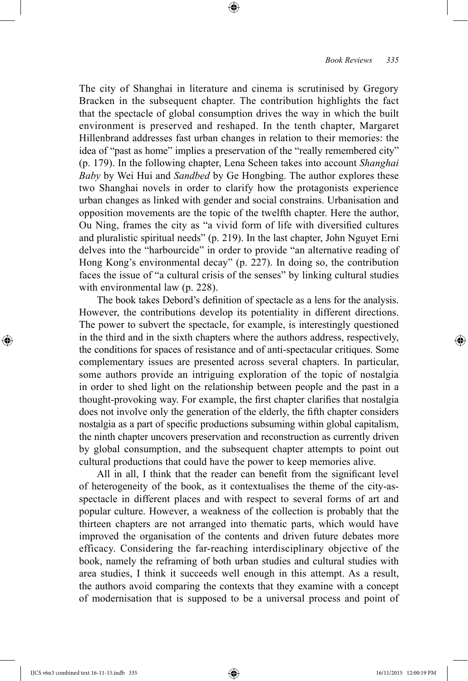The city of Shanghai in literature and cinema is scrutinised by Gregory Bracken in the subsequent chapter. The contribution highlights the fact that the spectacle of global consumption drives the way in which the built environment is preserved and reshaped. In the tenth chapter, Margaret Hillenbrand addresses fast urban changes in relation to their memories: the idea of "past as home" implies a preservation of the "really remembered city" (p. 179). In the following chapter, Lena Scheen takes into account *Shanghai Baby* by Wei Hui and *Sandbed* by Ge Hongbing. The author explores these two Shanghai novels in order to clarify how the protagonists experience urban changes as linked with gender and social constrains. Urbanisation and opposition movements are the topic of the twelfth chapter. Here the author, Ou Ning, frames the city as "a vivid form of life with diversified cultures and pluralistic spiritual needs" (p. 219). In the last chapter, John Nguyet Erni delves into the "harbourcide" in order to provide "an alternative reading of Hong Kong's environmental decay" (p. 227). In doing so, the contribution faces the issue of "a cultural crisis of the senses" by linking cultural studies with environmental law (p. 228).

⊕

The book takes Debord's definition of spectacle as a lens for the analysis. However, the contributions develop its potentiality in different directions. The power to subvert the spectacle, for example, is interestingly questioned in the third and in the sixth chapters where the authors address, respectively, the conditions for spaces of resistance and of anti-spectacular critiques. Some complementary issues are presented across several chapters. In particular, some authors provide an intriguing exploration of the topic of nostalgia in order to shed light on the relationship between people and the past in a thought-provoking way. For example, the first chapter clarifies that nostalgia does not involve only the generation of the elderly, the fifth chapter considers nostalgia as a part of specific productions subsuming within global capitalism, the ninth chapter uncovers preservation and reconstruction as currently driven by global consumption, and the subsequent chapter attempts to point out cultural productions that could have the power to keep memories alive.

All in all, I think that the reader can benefit from the significant level of heterogeneity of the book, as it contextualises the theme of the city-asspectacle in different places and with respect to several forms of art and popular culture. However, a weakness of the collection is probably that the thirteen chapters are not arranged into thematic parts, which would have improved the organisation of the contents and driven future debates more efficacy. Considering the far-reaching interdisciplinary objective of the book, namely the reframing of both urban studies and cultural studies with area studies, I think it succeeds well enough in this attempt. As a result, the authors avoid comparing the contexts that they examine with a concept of modernisation that is supposed to be a universal process and point of

IJCS v6n3 combined text 16-11-15.indb 335 16/11/2015 12:00:19 PM

⊕

⊕